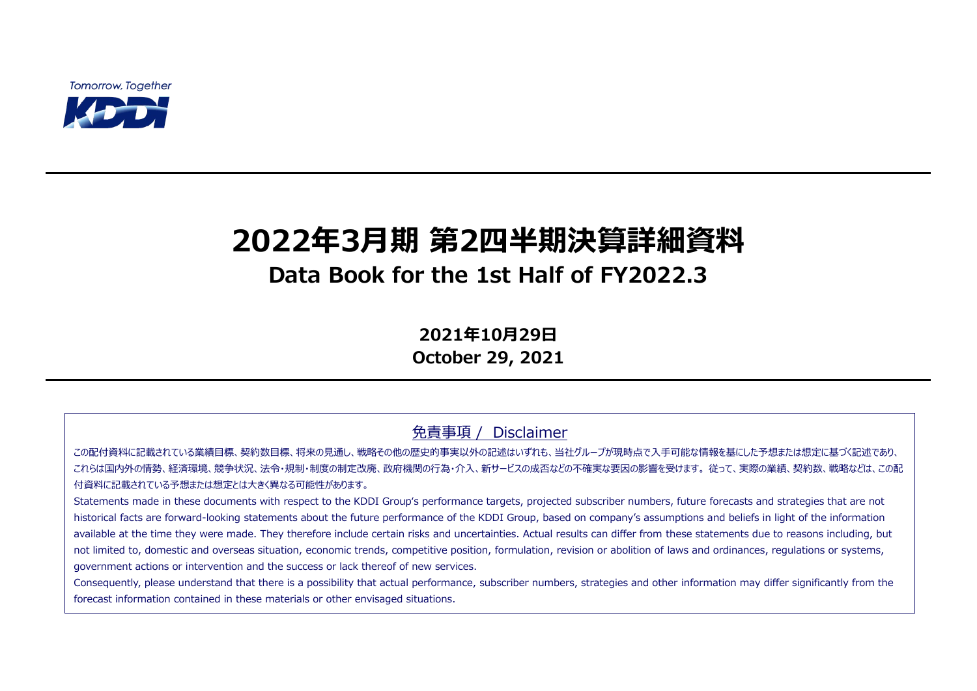**Tomorrow, Together** 



# **2022年3月期 第2四半期決算詳細資料 Data Book for the 1st Half of FY2022.3**

**2021年10月29日 October 29, 2021**

免責事項 / Disclaimer

この配付資料に記載されている業績目標、契約数目標、将来の見通し、戦略その他の歴史的事実以外の記述はいずれも、当社グループが現時点で入手可能な情報を基にした予想または想定に基づく記述であり、 これらは国内外の情勢、経済環境、競争状況、法令・規制・制度の制定改廃、政府機関の行為・介入、新サービスの成否などの不確実な要因の影響を受けます。 従って、実際の業績、契約数、戦略などは、この配 付資料に記載されている予想または想定とは大きく異なる可能性があります。

Statements made in these documents with respect to the KDDI Group's performance targets, projected subscriber numbers, future forecasts and strategies that are not historical facts are forward-looking statements about the future performance of the KDDI Group, based on company's assumptions and beliefs in light of the information available at the time they were made. They therefore include certain risks and uncertainties. Actual results can differ from these statements due to reasons including, but not limited to, domestic and overseas situation, economic trends, competitive position, formulation, revision or abolition of laws and ordinances, regulations or systems, government actions or intervention and the success or lack thereof of new services.

Consequently, please understand that there is a possibility that actual performance, subscriber numbers, strategies and other information may differ significantly from the forecast information contained in these materials or other envisaged situations.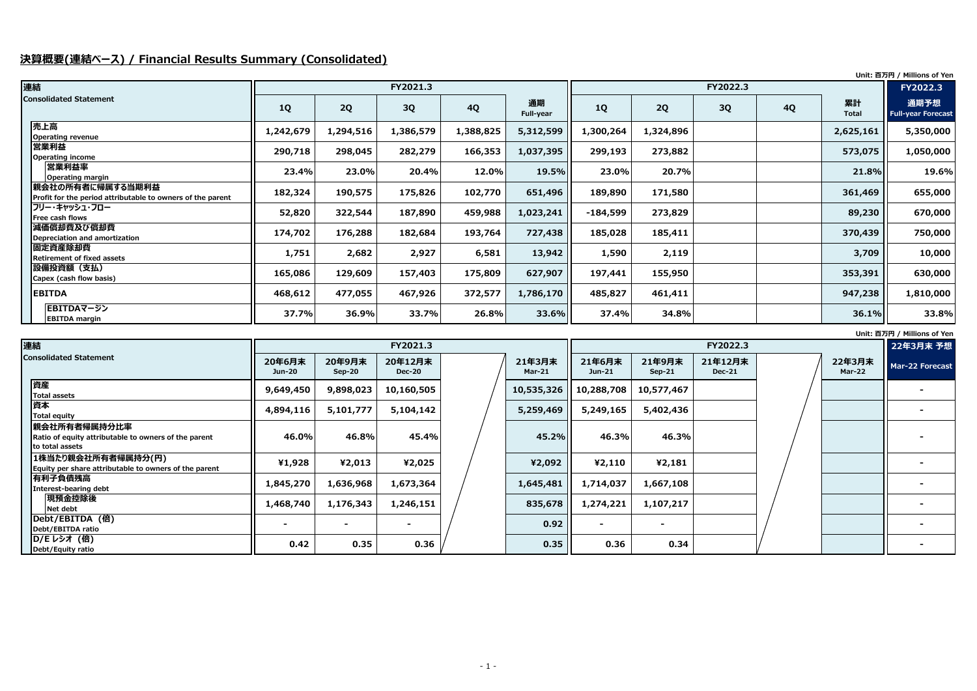### **決算概要(連結ベース) / Financial Results Summary (Consolidated)**

| Unit: 百万円 / Millions of Yen |  |  |  |
|-----------------------------|--|--|--|
|-----------------------------|--|--|--|

**Unit: 百万円 / Millions of Yen**

| 連結                                                                             |           |           | FY2021.3  |           |                 |            | FY2022.3  |    |           |                    |                                   |
|--------------------------------------------------------------------------------|-----------|-----------|-----------|-----------|-----------------|------------|-----------|----|-----------|--------------------|-----------------------------------|
| <b>Consolidated Statement</b>                                                  | 1Q        | 2Q        | 3Q        | <b>4Q</b> | 通期<br>Full-year | 1Q         | 2Q        | 3Q | <b>4Q</b> | 累計<br><b>Total</b> | 通期予想<br><b>Full-year Forecast</b> |
| 売上高<br><b>Operating revenue</b>                                                | 1,242,679 | 1,294,516 | 1,386,579 | 1,388,825 | 5,312,599       | 1,300,264  | 1,324,896 |    |           | 2,625,161          | 5,350,000                         |
| 営業利益<br>Operating income                                                       | 290,718   | 298,045   | 282,279   | 166,353   | 1,037,395       | 299,193    | 273,882   |    |           | 573,075            | 1,050,000                         |
| 営業利益率<br><b>Operating margin</b>                                               | 23.4%     | 23.0%     | 20.4%     | 12.0%     | 19.5%           | 23.0%      | 20.7%     |    |           | 21.8%              | 19.6%                             |
| 親会社の所有者に帰属する当期利益<br>Profit for the period attributable to owners of the parent | 182,324   | 190,575   | 175,826   | 102,770   | 651,496         | 189,890    | 171,580   |    |           | 361,469            | 655,000                           |
| フリー・キャッシュ・フロー<br>Free cash flows                                               | 52,820    | 322,544   | 187,890   | 459,988   | 1,023,241       | $-184,599$ | 273,829   |    |           | 89,230             | 670,000                           |
| 減価償却費及び償却費<br><b>Depreciation and amortization</b>                             | 174,702   | 176,288   | 182,684   | 193,764   | 727,438         | 185,028    | 185,411   |    |           | 370,439            | 750,000                           |
| 固定資産除却費<br><b>Retirement of fixed assets</b>                                   | 1,751     | 2,682     | 2,927     | 6,581     | 13,942          | 1,590      | 2,119     |    |           | 3,709              | 10,000                            |
| <b> 設備投資額(支払)</b><br>Capex (cash flow basis)                                   | 165,086   | 129,609   | 157,403   | 175,809   | 627,907         | 197,441    | 155,950   |    |           | 353,391            | 630,000                           |
| <b>EBITDA</b>                                                                  | 468,612   | 477,055   | 467,926   | 372,577   | 1,786,170       | 485,827    | 461,411   |    |           | 947,238            | 1,810,000                         |
| EBITDAマージン<br><b>EBITDA</b> margin                                             | 37.7%     | 36.9%     | 33.7%     | 26.8%     | 33.6%           | 37.4%      | 34.8%     |    |           | 36.1%              | 33.8%                             |

| 連結                                                                                      |                         |                         | FY2021.3                 |                    |                         |                          | FY2022.3                 |  |                         | 22年3月末 予想       |
|-----------------------------------------------------------------------------------------|-------------------------|-------------------------|--------------------------|--------------------|-------------------------|--------------------------|--------------------------|--|-------------------------|-----------------|
| <b>Consolidated Statement</b>                                                           | 20年6月末<br><b>Jun-20</b> | 20年9月末<br><b>Sep-20</b> | 20年12月末<br><b>Dec-20</b> | 21年3月末<br>$Mar-21$ | 21年6月末<br>Jun-21        | 21年9月末<br>$Sep-21$       | 21年12月末<br><b>Dec-21</b> |  | 22年3月末<br><b>Mar-22</b> | Mar-22 Forecast |
| 資産<br><b>Total assets</b>                                                               | 9,649,450               | 9,898,023               | 10,160,505               |                    | 10,535,326   10,288,708 | 10,577,467               |                          |  |                         |                 |
| 資本<br><b>Total equity</b>                                                               | 4,894,116               | 5,101,777               | 5,104,142                | 5,259,469          | 5,249,165               | 5,402,436                |                          |  |                         |                 |
| 親会社所有者帰属持分比率<br>Ratio of equity attributable to owners of the parent<br>to total assets | $46.0\%$                | 46.8%                   | 45.4%                    | 45.2%              | 46.3%                   | 46.3%                    |                          |  |                         |                 |
| 1株当たり親会社所有者帰属持分(円)<br>Equity per share attributable to owners of the parent             | ¥1,928                  | ¥2,013                  | ¥2,025                   | ¥2,092             | ¥2,110                  | 42,181                   |                          |  |                         |                 |
| 有利子負債残高<br><b>Interest-bearing debt</b>                                                 | 1,845,270               | 1,636,968               | 1,673,364                | 1,645,481          | 1,714,037               | 1,667,108                |                          |  |                         |                 |
| 現預金控除後<br>Net debt                                                                      | 1,468,740               | 1,176,343               | 1,246,151                | 835,678            | 1,274,221               | 1,107,217                |                          |  |                         |                 |
| Debt/EBITDA (倍)<br>Debt/EBITDA ratio                                                    |                         |                         |                          | 0.92               | $\sim$                  | $\overline{\phantom{a}}$ |                          |  |                         |                 |
| <b>D/Eレシオ (倍)</b><br>Debt/Equity ratio                                                  | 0.42                    | 0.35                    | 0.36                     | 0.35               | 0.36                    | 0.34                     |                          |  |                         |                 |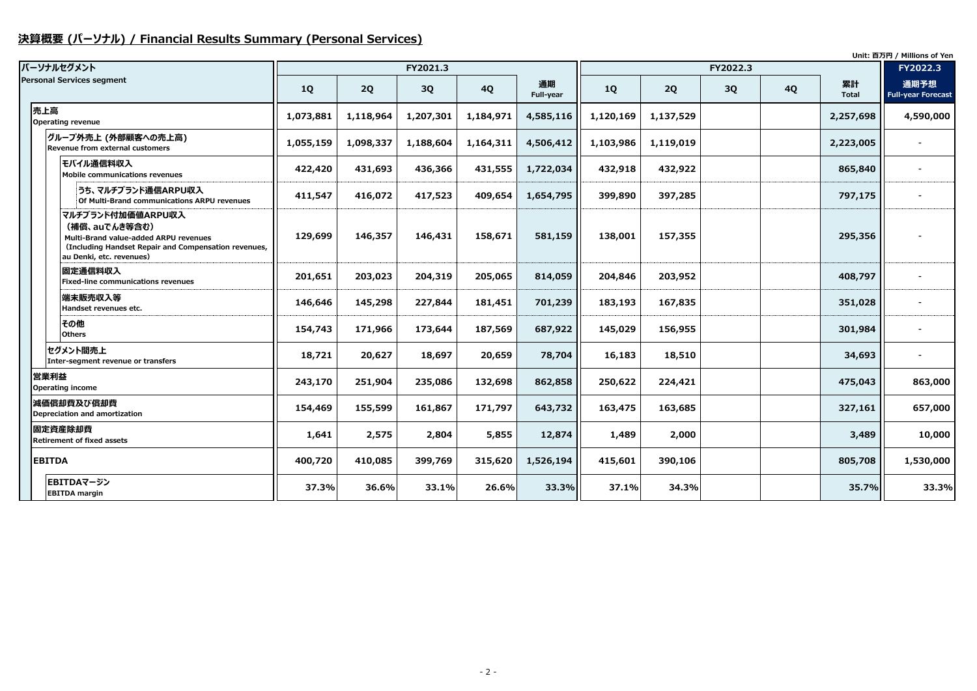# **決算概要 (パーソナル) / Financial Results Summary (Personal Services)**

|                                                                                                                                                                 |           |           |           |           |                 |           |           |          |           |                    | Unit: 百万円 / Millions of Yen       |
|-----------------------------------------------------------------------------------------------------------------------------------------------------------------|-----------|-----------|-----------|-----------|-----------------|-----------|-----------|----------|-----------|--------------------|-----------------------------------|
| パーソナルセグメント                                                                                                                                                      |           |           | FY2021.3  |           |                 |           |           | FY2022.3 |           |                    | FY2022.3                          |
| <b>Personal Services segment</b>                                                                                                                                | 1Q        | 2Q        | <b>3Q</b> | <b>4Q</b> | 通期<br>Full-year | <b>1Q</b> | 2Q        | 3Q       | <b>4Q</b> | 累計<br><b>Total</b> | 通期予想<br><b>Full-year Forecast</b> |
| 売上高<br><b>Operating revenue</b>                                                                                                                                 | 1,073,881 | 1,118,964 | 1,207,301 | 1,184,971 | 4,585,116       | 1,120,169 | 1,137,529 |          |           | 2,257,698          | 4,590,000                         |
| グループ外売上 (外部顧客への売上高)<br><b>Revenue from external customers</b>                                                                                                   | 1,055,159 | 1,098,337 | 1,188,604 | 1,164,311 | 4,506,412       | 1,103,986 | 1,119,019 |          |           | 2,223,005          |                                   |
| モバイル通信料収入<br>Mobile communications revenues                                                                                                                     | 422,420   | 431,693   | 436,366   | 431,555   | 1,722,034       | 432,918   | 432,922   |          |           | 865,840            |                                   |
| うち、マルチブランド通信ARPU収入<br>Of Multi-Brand communications ARPU revenues                                                                                               | 411,547   | 416,072   | 417,523   | 409,654   | 1,654,795       | 399,890   | 397,285   |          |           | 797,175            |                                   |
| マルチブランド付加価値ARPU収入<br>(補償、auでんき等含む)<br>Multi-Brand value-added ARPU revenues<br>(Including Handset Repair and Compensation revenues,<br>au Denki, etc. revenues) | 129,699   | 146,357   | 146,431   | 158,671   | 581,159         | 138,001   | 157,355   |          |           | 295,356            |                                   |
| <b> 固定通信料収入</b><br><b>Fixed-line communications revenues</b>                                                                                                    | 201,651   | 203,023   | 204,319   | 205,065   | 814,059         | 204,846   | 203,952   |          |           | 408,797            |                                   |
| 端末販売収入等<br>Handset revenues etc.                                                                                                                                | 146,646   | 145,298   | 227,844   | 181,451   | 701,239         | 183,193   | 167,835   |          |           | 351,028            |                                   |
| その他<br><b>Others</b>                                                                                                                                            | 154,743   | 171,966   | 173,644   | 187,569   | 687,922         | 145,029   | 156,955   |          |           | 301,984            |                                   |
| セグメント間売上<br>Inter-segment revenue or transfers                                                                                                                  | 18,721    | 20,627    | 18,697    | 20,659    | 78,704          | 16,183    | 18,510    |          |           | 34,693             |                                   |
| 営業利益<br><b>Operating income</b>                                                                                                                                 | 243,170   | 251,904   | 235,086   | 132,698   | 862,858         | 250,622   | 224,421   |          |           | 475,043            | 863,000                           |
| 減価償却費及び償却費<br>Depreciation and amortization                                                                                                                     | 154,469   | 155,599   | 161,867   | 171,797   | 643,732         | 163,475   | 163,685   |          |           | 327,161            | 657,000                           |
| 固定資産除却費<br><b>Retirement of fixed assets</b>                                                                                                                    | 1,641     | 2,575     | 2,804     | 5,855     | 12,874          | 1,489     | 2,000     |          |           | 3,489              | 10,000                            |
| <b>EBITDA</b>                                                                                                                                                   | 400,720   | 410,085   | 399,769   | 315,620   | 1,526,194       | 415,601   | 390,106   |          |           | 805,708            | 1,530,000                         |
| EBITDAマージン<br><b>EBITDA</b> margin                                                                                                                              | 37.3%     | 36.6%     | 33.1%     | 26.6%     | 33.3%           | 37.1%     | 34.3%     |          |           | 35.7%              | 33.3%                             |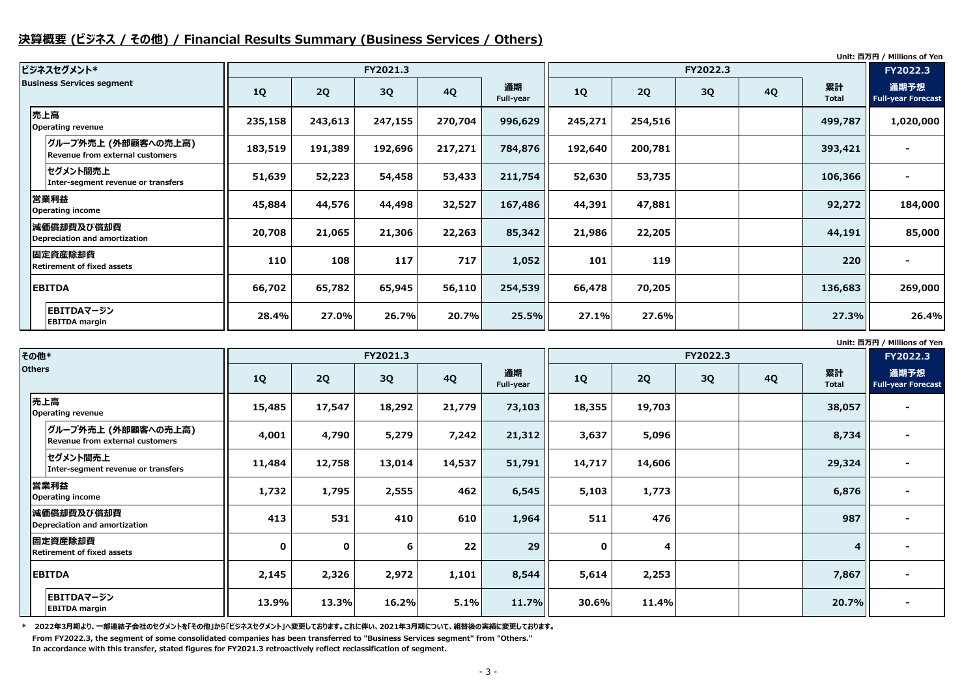### **決算概要 (ビジネス / その他) / Financial Results Summary (Business Services / Others)**

**Unit: 百万円 / Millions of Yen**

**Unit: 百万円 / Millions of Yen**

| ビジネスセグメント*                                             |         |           | FY2021.3 |           |                 |         |           | FY2022.3 |           |                    | FY2022.3                          |
|--------------------------------------------------------|---------|-----------|----------|-----------|-----------------|---------|-----------|----------|-----------|--------------------|-----------------------------------|
| <b>Business Services segment</b>                       | 1Q      | <b>2Q</b> | 3Q       | <b>4Q</b> | 通期<br>Full-year | 1Q      | <b>2Q</b> | 3Q       | <b>4Q</b> | 累計<br><b>Total</b> | 通期予想<br><b>Full-year Forecast</b> |
| 売上高<br>Operating revenue                               | 235,158 | 243,613   | 247,155  | 270,704   | 996,629         | 245,271 | 254,516   |          |           | 499,787            | 1,020,000                         |
| グループ外売上 (外部顧客への売上高)<br>Revenue from external customers | 183,519 | 191,389   | 192,696  | 217,271   | 784,876         | 192,640 | 200,781   |          |           | 393,421            |                                   |
| セグメント間売上<br>Inter-segment revenue or transfers         | 51,639  | 52,223    | 54,458   | 53,433    | 211,754         | 52,630  | 53,735    |          |           | 106,366            |                                   |
| 営業利益<br>Operating income                               | 45,884  | 44,576    | 44,498   | 32,527    | 167,486         | 44,391  | 47,881    |          |           | 92,272             | 184,000                           |
| 減価償却費及び償却費<br>Depreciation and amortization            | 20,708  | 21,065    | 21,306   | 22,263    | 85,342          | 21,986  | 22,205    |          |           | 44,191             | 85,000                            |
| 固定資産除却費<br><b>Retirement of fixed assets</b>           | 110     | 108       | 117      | 717       | 1,052           | 101     | 119       |          |           | 220                |                                   |
| <b>EBITDA</b>                                          | 66,702  | 65,782    | 65,945   | 56,110    | 254,539         | 66,478  | 70,205    |          |           | 136,683            | 269,000                           |
| EBITDAマージン<br><b>EBITDA margin</b>                     | 28.4%   | 27.0%     | 26.7%    | 20.7%     | 25.5%           | 27.1%   | 27.6%     |          |           | 27.3%              | 26.4%                             |

**\* 2022年3月期より、一部連結子会社のセグメントを「その他」から「ビジネスセグメント」へ変更しております。これに伴い、2021年3月期について、組替後の実績に変更しております。**

| その他*                                                    |             |             | FY2021.3 |           |                 |             |                         | FY2022.3 |           |                    |                                   |
|---------------------------------------------------------|-------------|-------------|----------|-----------|-----------------|-------------|-------------------------|----------|-----------|--------------------|-----------------------------------|
| <b>Others</b>                                           | <b>1Q</b>   | 2Q          | 3Q       | <b>4Q</b> | 通期<br>Full-year | 1Q          | <b>2Q</b>               | 3Q       | <b>4Q</b> | 累計<br><b>Total</b> | 通期予想<br><b>Full-year Forecast</b> |
| 売上高<br><b>Operating revenue</b>                         | 15,485      | 17,547      | 18,292   | 21,779    | 73,103          | 18,355      | 19,703                  |          |           | 38,057             |                                   |
| グループ外売上 (外部顧客への売上高) <br>Revenue from external customers | 4,001       | 4,790       | 5,279    | 7,242     | 21,312          | 3,637       | 5,096                   |          |           | 8,734              |                                   |
| セグメント間売上<br>Inter-segment revenue or transfers          | 11,484      | 12,758      | 13,014   | 14,537    | 51,791          | 14,717      | 14,606                  |          |           | 29,324             |                                   |
| 営業利益<br><b>Operating income</b>                         | 1,732       | 1,795       | 2,555    | 462       | 6,545           | 5,103       | 1,773                   |          |           | 6,876              |                                   |
| 減価償却費及び償却費<br>Depreciation and amortization             | 413         | 531         | 410      | 610       | 1,964           | 511         | 476                     |          |           | 987                |                                   |
| 固定資産除却費<br><b>Retirement of fixed assets</b>            | $\mathbf 0$ | $\mathbf 0$ | 6        | 22        | 29              | $\mathbf 0$ | $\overline{\mathbf{4}}$ |          |           | 4 <sup>1</sup>     |                                   |
| <b>EBITDA</b>                                           | 2,145       | 2,326       | 2,972    | 1,101     | 8,544           | 5,614       | 2,253                   |          |           | 7,867              |                                   |
| <b>EBITDAマージン</b><br><b>EBITDA margin</b>               | 13.9%       | 13.3%       | 16.2%    | 5.1%      | 11.7%           | 30.6%       | 11.4%                   |          |           | 20.7%              |                                   |

**From FY2022.3, the segment of some consolidated companies has been transferred to "Business Services segment" from "Others." In accordance with this transfer, stated figures for FY2021.3 retroactively reflect reclassification of segment.**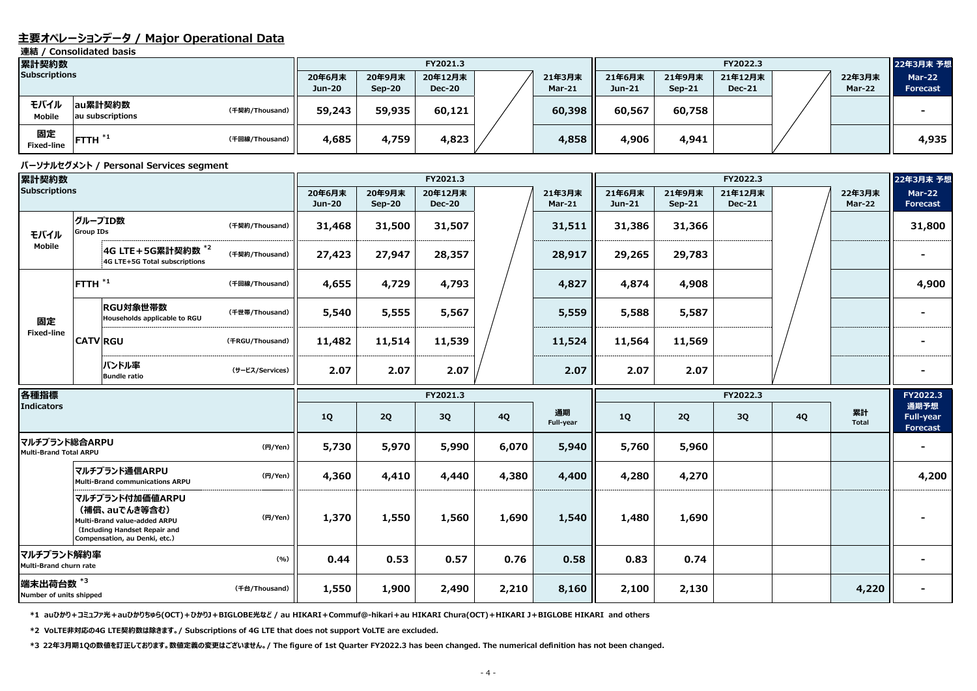### **主要オペレーションデータ / Major Operational Data**

**連結 / Consolidated basis**

#### **パーソナルセグメント / Personal Services segment**

| 累計契約数                   |                             |                |                  |                    |                          | <b>FY20</b> |                         |                  |                    |                  |
|-------------------------|-----------------------------|----------------|------------------|--------------------|--------------------------|-------------|-------------------------|------------------|--------------------|------------------|
| <b>Subscriptions</b>    |                             |                | 20年6月末<br>Jun-20 | 20年9月末<br>$Sep-20$ | 20年12月末<br><b>Dec-20</b> |             | 21年3月末<br><b>Mar-21</b> | 21年6月末<br>Jun-21 | 21年9月末<br>$Sep-21$ | 21年<br><b>De</b> |
| モバイル<br><b>Mobile</b>   | au累計契約数<br>au subscriptions | (千契約/Thousand) | 59,243           | 59,935             | 60,121                   |             | 60,398                  | 60,567           | 60,758             |                  |
| 固定<br><b>Fixed-line</b> | FTTH $*1$                   | (千回線/Thousand) | 4,685            | 4,759              | 4,823                    |             | 4,858                   | 4,906            | 4,941              |                  |

**\*1 auひかり+コミュファ光+auひかりちゅら(OCT)+ひかりJ+BIGLOBE光など / au HIKARI+Commuf@-hikari+au HIKARI Chura(OCT)+HIKARI J+BIGLOBE HIKARI and others**

**\*2 VoLTE非対応の4G LTE契約数は除きます。/ Subscriptions of 4G LTE that does not support VoLTE are excluded.**

| --- -<br>累計契約数                          |                  |                                                                                                                                    |                 |                         |                         | FY2021.3                 |           |                         | FY2022.3           |                         |                          |           |                         | 22年3月末 予想                                   |
|-----------------------------------------|------------------|------------------------------------------------------------------------------------------------------------------------------------|-----------------|-------------------------|-------------------------|--------------------------|-----------|-------------------------|--------------------|-------------------------|--------------------------|-----------|-------------------------|---------------------------------------------|
| <b>Subscriptions</b>                    |                  |                                                                                                                                    |                 | 20年6月末                  | 20年9月末                  | 20年12月末                  |           | 21年3月末                  | 21年6月末             | 21年9月末                  | 21年12月末                  |           | 22年3月末                  | <b>Mar-22</b>                               |
|                                         |                  |                                                                                                                                    |                 | <b>Jun-20</b>           | <b>Sep-20</b>           | <b>Dec-20</b>            |           | <b>Mar-21</b>           | $Jun-21$           | <b>Sep-21</b>           | <b>Dec-21</b>            |           | Mar-22                  | <b>Forecast</b>                             |
| モバイル<br><b>Mobile</b>                   |                  | au累計契約数<br>au subscriptions                                                                                                        | (千契約/Thousand)  | 59,243                  | 59,935                  | 60,121                   |           | 60,398                  | 60,567             | 60,758                  |                          |           |                         |                                             |
| 固定<br><b>Fixed-line</b>                 | $I$ FTTH $I^*$   |                                                                                                                                    | (千回線/Thousand)  | 4,685                   | 4,759                   | 4,823                    |           | 4,858                   | 4,906              | 4,941                   |                          |           |                         | 4,935                                       |
|                                         |                  | パーソナルセグメント / Personal Services segment                                                                                             |                 |                         |                         |                          |           |                         |                    |                         |                          |           |                         |                                             |
| 累計契約数                                   |                  |                                                                                                                                    |                 |                         |                         | FY2021.3                 |           |                         |                    |                         | FY2022.3                 |           |                         | 22年3月末 予想                                   |
| <b>Subscriptions</b>                    |                  |                                                                                                                                    |                 | 20年6月末<br><b>Jun-20</b> | 20年9月末<br><b>Sep-20</b> | 20年12月末<br><b>Dec-20</b> |           | 21年3月末<br><b>Mar-21</b> | 21年6月末<br>$Jun-21$ | 21年9月末<br><b>Sep-21</b> | 21年12月末<br><b>Dec-21</b> |           | 22年3月末<br><b>Mar-22</b> | <b>Mar-22</b><br><b>Forecast</b>            |
| モバイル                                    | <b>Group IDs</b> | グループID数                                                                                                                            | (千契約/Thousand)  | 31,468                  | 31,500                  | 31,507                   |           | 31,511                  | 31,386             | 31,366                  |                          |           |                         | 31,800                                      |
| <b>Mobile</b>                           |                  | 4G LTE + 5G累計契約数 <sup>*2</sup><br>4G LTE+5G Total subscriptions                                                                    | (千契約/Thousand)  | 27,423                  | 27,947                  | 28,357                   |           | 28,917                  | 29,265             | 29,783                  |                          |           |                         |                                             |
|                                         | FTTH $^{*1}$     |                                                                                                                                    | (千回線/Thousand)  | 4,655                   | 4,729                   | 4,793                    |           | 4,827                   | 4,874              | 4,908                   |                          |           |                         | 4,900                                       |
| 固定<br><b>Fixed-line</b>                 |                  | RGU対象世帯数<br>Households applicable to RGU                                                                                           | (千世帯/Thousand)  | 5,540                   | 5,555                   | 5,567                    |           | 5,559                   | 5,588              | 5,587                   |                          |           |                         |                                             |
|                                         | <b>CATV RGU</b>  |                                                                                                                                    | (FRGU/Thousand) | 11,482                  | 11,514                  | 11,539                   |           | 11,524                  | 11,564             | 11,569                  |                          |           |                         |                                             |
|                                         |                  | バンドル率<br><b>Bundle ratio</b>                                                                                                       | (サービス/Services) | 2.07                    | 2.07                    | 2.07                     |           | 2.07                    | 2.07               | 2.07                    |                          |           |                         |                                             |
| 各種指標                                    |                  |                                                                                                                                    |                 |                         |                         | FY2021.3                 |           |                         |                    |                         | FY2022.3                 |           |                         | FY2022.3                                    |
| <b>Indicators</b>                       |                  |                                                                                                                                    |                 | <b>1Q</b>               | 2Q                      | 3Q                       | <b>4Q</b> | 通期<br>Full-year         | <b>1Q</b>          | 2Q                      | 3Q                       | <b>4Q</b> | 累計<br><b>Total</b>      | 通期予想<br><b>Full-year</b><br><b>Forecast</b> |
| マルチブランド総合ARPU<br>Multi-Brand Total ARPU |                  |                                                                                                                                    | (円/Yen)         | 5,730                   | 5,970                   | 5,990                    | 6,070     | 5,940                   | 5,760              | 5,960                   |                          |           |                         |                                             |
|                                         |                  | マルチブランド通信ARPU<br><b>Multi-Brand communications ARPU</b>                                                                            | (円/Yen)         | 4,360                   | 4,410                   | 4,440                    | 4,380     | 4,400                   | 4,280              | 4,270                   |                          |           |                         | 4,200                                       |
|                                         |                  | マルチブランド付加価値ARPU<br>(補償、auでんき等含む)<br>Multi-Brand value-added ARPU<br>(Including Handset Repair and<br>Compensation, au Denki, etc.) | (円/Yen)         | 1,370                   | 1,550                   | 1,560                    | 1,690     | 1,540                   | 1,480              | 1,690                   |                          |           |                         |                                             |
| マルチブランド解約率<br>Multi-Brand churn rate    |                  |                                                                                                                                    | (9/6)           | 0.44                    | 0.53                    | 0.57                     | 0.76      | 0.58                    | 0.83               | 0.74                    |                          |           |                         |                                             |
| 端末出荷台数*3<br>Number of units shipped     |                  |                                                                                                                                    | (千台/Thousand)   | 1,550                   | 1,900                   | 2,490                    | 2,210     | 8,160                   | 2,100              | 2,130                   |                          |           | 4,220                   | ۰                                           |

**\*3 22年3月期1Qの数値を訂正しております。数値定義の変更はございません。/ The figure of 1st Quarter FY2022.3 has been changed. The numerical definition has not been changed.**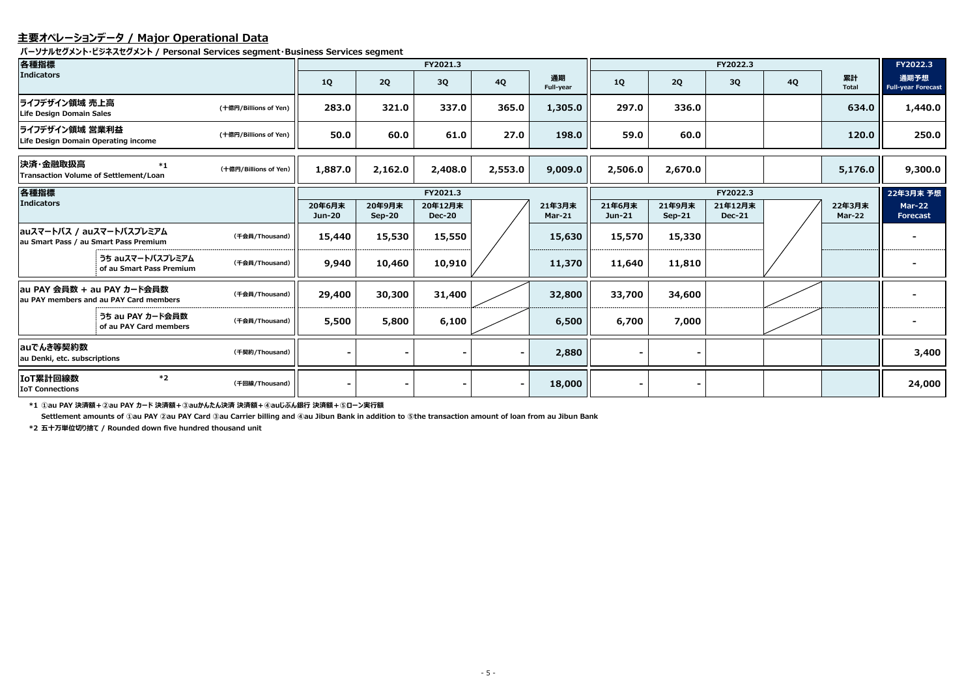### **主要オペレーションデータ / Major Operational Data**

**パーソナルセグメント・ビジネスセグメント / Personal Services segment・Business Services segment**

**\*1 ①au PAY 決済額+②au PAY カード 決済額+③auかんたん決済 決済額+④auじぶん銀行 決済額+⑤ローン実行額**

**Settlement amounts of ①au PAY ②au PAY Card ③au Carrier billing and ④au Jibun Bank in addition to ⑤the transaction amount of loan from au Jibun Bank**

| 各種指標                                                                 |                                              |                       |                         |                    | FY2021.3                 |                          |                         | FY2022.3         |                    |                          |           |                         | FY2022.3                          |
|----------------------------------------------------------------------|----------------------------------------------|-----------------------|-------------------------|--------------------|--------------------------|--------------------------|-------------------------|------------------|--------------------|--------------------------|-----------|-------------------------|-----------------------------------|
| <b>Indicators</b>                                                    |                                              |                       | <b>1Q</b>               | 2Q                 | 3Q                       | <b>4Q</b>                | 通期<br>Full-year         | <b>1Q</b>        | 2Q                 | 3Q                       | <b>4Q</b> | 累計<br><b>Total</b>      | 通期予想<br><b>Full-year Forecast</b> |
| ライフデザイン領域 売上高<br><b>Life Design Domain Sales</b>                     |                                              | (十億円/Billions of Yen) | 283.0                   | 321.0              | 337.0                    | 365.0                    | 1,305.0                 | 297.0            | 336.0              |                          |           | 634.0                   | 1,440.0                           |
| ライフデザイン領域 営業利益<br>Life Design Domain Operating income                |                                              | (十億円/Billions of Yen) | 50.0                    | 60.0               | 61.0                     | 27.0                     | 198.0                   | 59.0             | 60.0               |                          |           | 120.0                   | 250.0                             |
| 決済・金融取扱高<br><b>Transaction Volume of Settlement/Loan</b>             | $*_{1}$                                      | (十億円/Billions of Yen) | 1,887.0                 | 2,162.0            | 2,408.0                  | 2,553.0                  | 9,009.0                 | 2,506.0          | 2,670.0            |                          |           | 5,176.0                 | 9,300.0                           |
| 各種指標                                                                 |                                              |                       | FY2021.3                |                    |                          |                          |                         |                  | FY2022.3           |                          |           |                         |                                   |
| Indicators                                                           |                                              |                       | 20年6月末<br><b>Jun-20</b> | 20年9月末<br>$Sep-20$ | 20年12月末<br><b>Dec-20</b> |                          | 21年3月末<br><b>Mar-21</b> | 21年6月末<br>Jun-21 | 21年9月末<br>$Sep-21$ | 21年12月末<br><b>Dec-21</b> |           | 22年3月末<br><b>Mar-22</b> | <b>Mar-22</b><br><b>Forecast</b>  |
| auスマートパス / auスマートパスプレミアム<br>au Smart Pass / au Smart Pass Premium    |                                              | (千会員/Thousand)        | 15,440                  | 15,530             | 15,550                   |                          | 15,630                  | 15,570           | 15,330             |                          |           |                         |                                   |
|                                                                      | うち auスマートパスプレミアム<br>of au Smart Pass Premium | (千会員/Thousand)        | 9,940                   | 10,460             | 10,910                   |                          | 11,370                  | 11,640           | 11,810             |                          |           |                         |                                   |
| au PAY 会員数 + au PAY カード会員数<br>au PAY members and au PAY Card members |                                              | (千会員/Thousand)        | 29,400                  | 30,300             | 31,400                   |                          | 32,800                  | 33,700           | 34,600             |                          |           |                         |                                   |
|                                                                      | うち au PAY カード会員数<br>of au PAY Card members   | (千会員/Thousand)        | 5,500                   | 5,800              | 6,100                    |                          | 6,500                   | 6,700            | 7,000              |                          |           |                         |                                   |
| auでんき等契約数<br>au Denki, etc. subscriptions                            |                                              | (千契約/Thousand)        |                         |                    |                          |                          | 2,880                   |                  |                    |                          |           |                         | 3,400                             |
| IoT累計回線数<br><b>IoT Connections</b>                                   | $*2$                                         | (千回線/Thousand)        |                         |                    |                          | $\overline{\phantom{a}}$ | 18,000                  |                  |                    |                          |           |                         | 24,000                            |

**\*2 五十万単位切り捨て / Rounded down five hundred thousand unit**